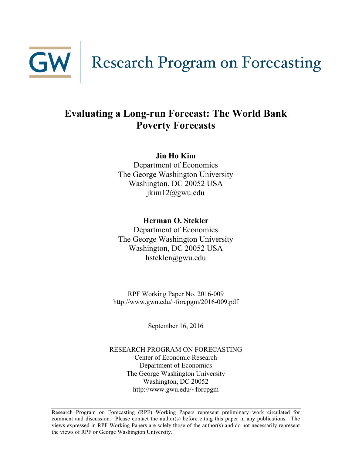

## **Evaluating a Long-run Forecast: The World Bank Poverty Forecasts**

#### **Jin Ho Kim**

Department of Economics The George Washington University Washington, DC 20052 USA jkim12@gwu.edu

**Herman O. Stekler**

Department of Economics The George Washington University Washington, DC 20052 USA hstekler@gwu.edu

RPF Working Paper No. 2016-009 http://www.gwu.edu/~forcpgm/2016-009.pdf

September 16, 2016

RESEARCH PROGRAM ON FORECASTING Center of Economic Research Department of Economics The George Washington University Washington, DC 20052 http://www.gwu.edu/~forcpgm

Research Program on Forecasting (RPF) Working Papers represent preliminary work circulated for comment and discussion. Please contact the author(s) before citing this paper in any publications. The views expressed in RPF Working Papers are solely those of the author(s) and do not necessarily represent the views of RPF or George Washington University.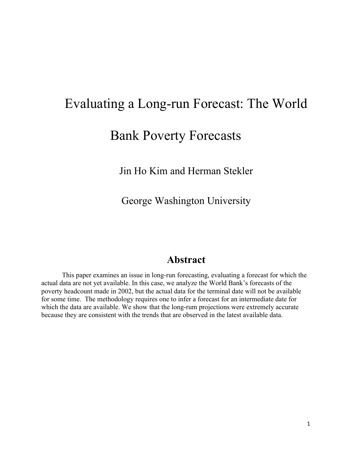# Evaluating a Long-run Forecast: The World

# Bank Poverty Forecasts

Jin Ho Kim and Herman Stekler

George Washington University

### **Abstract**

This paper examines an issue in long-run forecasting, evaluating a forecast for which the actual data are not yet available. In this case, we analyze the World Bank's forecasts of the poverty headcount made in 2002, but the actual data for the terminal date will not be available for some time. The methodology requires one to infer a forecast for an intermediate date for which the data are available. We show that the long-rum projections were extremely accurate because they are consistent with the trends that are observed in the latest available data.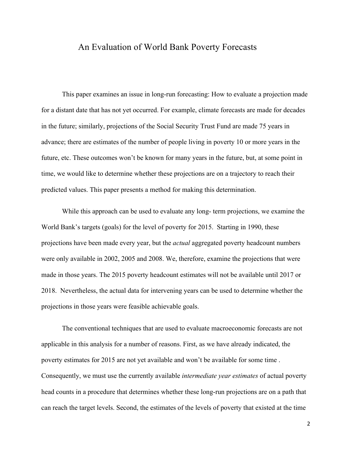#### An Evaluation of World Bank Poverty Forecasts

This paper examines an issue in long-run forecasting: How to evaluate a projection made for a distant date that has not yet occurred. For example, climate forecasts are made for decades in the future; similarly, projections of the Social Security Trust Fund are made 75 years in advance; there are estimates of the number of people living in poverty 10 or more years in the future, etc. These outcomes won't be known for many years in the future, but, at some point in time, we would like to determine whether these projections are on a trajectory to reach their predicted values. This paper presents a method for making this determination.

While this approach can be used to evaluate any long- term projections, we examine the World Bank's targets (goals) for the level of poverty for 2015. Starting in 1990, these projections have been made every year, but the *actual* aggregated poverty headcount numbers were only available in 2002, 2005 and 2008. We, therefore, examine the projections that were made in those years. The 2015 poverty headcount estimates will not be available until 2017 or 2018. Nevertheless, the actual data for intervening years can be used to determine whether the projections in those years were feasible achievable goals.

The conventional techniques that are used to evaluate macroeconomic forecasts are not applicable in this analysis for a number of reasons. First, as we have already indicated, the poverty estimates for 2015 are not yet available and won't be available for some time . Consequently, we must use the currently available *intermediate year estimates* of actual poverty head counts in a procedure that determines whether these long-run projections are on a path that can reach the target levels. Second, the estimates of the levels of poverty that existed at the time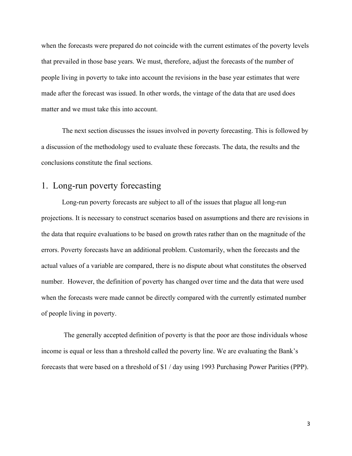when the forecasts were prepared do not coincide with the current estimates of the poverty levels that prevailed in those base years. We must, therefore, adjust the forecasts of the number of people living in poverty to take into account the revisions in the base year estimates that were made after the forecast was issued. In other words, the vintage of the data that are used does matter and we must take this into account.

The next section discusses the issues involved in poverty forecasting. This is followed by a discussion of the methodology used to evaluate these forecasts. The data, the results and the conclusions constitute the final sections.

### 1. Long-run poverty forecasting

Long-run poverty forecasts are subject to all of the issues that plague all long-run projections. It is necessary to construct scenarios based on assumptions and there are revisions in the data that require evaluations to be based on growth rates rather than on the magnitude of the errors. Poverty forecasts have an additional problem. Customarily, when the forecasts and the actual values of a variable are compared, there is no dispute about what constitutes the observed number. However, the definition of poverty has changed over time and the data that were used when the forecasts were made cannot be directly compared with the currently estimated number of people living in poverty.

The generally accepted definition of poverty is that the poor are those individuals whose income is equal or less than a threshold called the poverty line. We are evaluating the Bank's forecasts that were based on a threshold of \$1 / day using 1993 Purchasing Power Parities (PPP).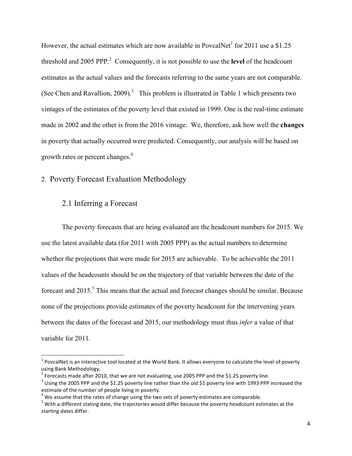However, the actual estimates which are now available in PovcalNet<sup>1</sup> for 2011 use a \$1.25 threshold and 2005 PPP<sup>2</sup> Consequently, it is not possible to use the **level** of the headcount estimates as the actual values and the forecasts referring to the same years are not comparable. (See Chen and Ravallion, 2009).<sup>3</sup> This problem is illustrated in Table 1 which presents two vintages of the estimates of the poverty level that existed in 1999. One is the real-time estimate made in 2002 and the other is from the 2016 vintage. We, therefore, ask how well the **changes** in poverty that actually occurred were predicted. Consequently, our analysis will be based on growth rates or percent changes.<sup>4</sup>

#### 2. Poverty Forecast Evaluation Methodology

#### 2.1 Inferring a Forecast

!!!!!!!!!!!!!!!!!!!!!!!!!!!!!!!!!!!!!!!!!!!!!!!!!!!!!!!!!!!!

The poverty forecasts that are being evaluated are the headcount numbers for 2015. We use the latest available data (for 2011 with 2005 PPP) as the actual numbers to determine whether the projections that were made for 2015 are achievable. To be achievable the 2011 values of the headcounts should be on the trajectory of that variable between the date of the forecast and  $2015$ .<sup>5</sup> This means that the actual and forecast changes should be similar. Because none of the projections provide estimates of the poverty headcount for the intervening years between the dates of the forecast and 2015, our methodology must thus *infer* a value of that variable for 2011.

 $1$  PovcalNet is an interactive tool located at the World Bank. It allows everyone to calculate the level of poverty using Bank Methodology.

 $2$  Forecasts made after 2010, that we are not evaluating, use 2005 PPP and the \$1.25 poverty line.

 $3$  Using the 2005 PPP and the \$1.25 poverty line rather than the old \$1 poverty line with 1993 PPP increased the estimate of the number of people living in poverty.

 $4$  We assume that the rates of change using the two sets of poverty estimates are comparable.

 $<sup>5</sup>$  With a different stating date, the trajectories would differ because the poverty headcount estimates at the</sup> starting dates differ.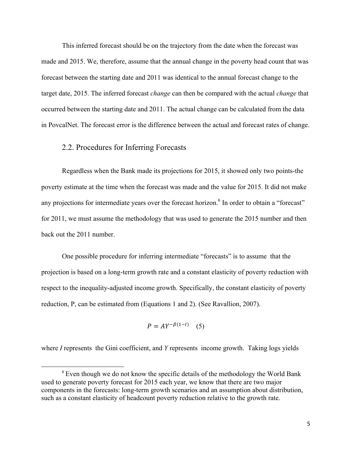This inferred forecast should be on the trajectory from the date when the forecast was made and 2015. We, therefore, assume that the annual change in the poverty head count that was forecast between the starting date and 2011 was identical to the annual forecast change to the target date, 2015. The inferred forecast *change* can then be compared with the actual *change* that occurred between the starting date and 2011. The actual change can be calculated from the data in PovcalNet. The forecast error is the difference between the actual and forecast rates of change.

#### 2.2. Procedures for Inferring Forecasts

!!!!!!!!!!!!!!!!!!!!!!!!!!!!!!!!!!!!!!!!!!!!!!!!!!!!!!!!!!!!

Regardless when the Bank made its projections for 2015, it showed only two points-the poverty estimate at the time when the forecast was made and the value for 2015. It did not make any projections for intermediate years over the forecast horizon.<sup>6</sup> In order to obtain a "forecast" for 2011, we must assume the methodology that was used to generate the 2015 number and then back out the 2011 number.

One possible procedure for inferring intermediate "forecasts" is to assume that the projection is based on a long-term growth rate and a constant elasticity of poverty reduction with respect to the inequality-adjusted income growth. Specifically, the constant elasticity of poverty reduction, P, can be estimated from (Equations 1 and 2). (See Ravallion, 2007).

$$
P = AY^{-\beta(1-I)} \quad (5)
$$

where *I* represents the Gini coefficient, and *Y* represents income growth. Taking logs yields

<sup>&</sup>lt;sup>6</sup> Even though we do not know the specific details of the methodology the World Bank used to generate poverty forecast for 2015 each year, we know that there are two major components in the forecasts: long-term growth scenarios and an assumption about distribution, such as a constant elasticity of headcount poverty reduction relative to the growth rate.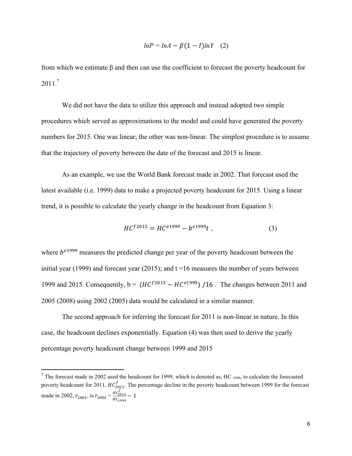$$
lnP = lnA - \beta(1 - I)lnY \quad (2)
$$

from which we estimate β and then can use the coefficient to forecast the poverty headcount for  $2011<sup>7</sup>$ 

We did not have the data to utilize this approach and instead adopted two simple procedures which served as approximations to the model and could have generated the poverty numbers for 2015. One was linear; the other was non-linear. The simplest procedure is to assume that the trajectory of poverty between the date of the forecast and 2015 is linear.

As an example, we use the World Bank forecast made in 2002. That forecast used the latest available (i.e. 1999) data to make a projected poverty headcount for 2015. Using a linear trend, it is possible to calculate the yearly change in the headcount from Equation 3:

$$
HC^{f2015} = HC^{e1999} - b^{e1999}t , \qquad (3)
$$

where  $b^{e1999}$  measures the predicted change per year of the poverty headcount between the initial year (1999) and forecast year (2015); and  $t = 16$  measures the number of years between 1999 and 2015. Consequently,  $b = (HC^{f2015} - HC^{e1999})$  /16. The changes between 2011 and 2005 (2008) using 2002 (2005) data would be calculated in a similar manner.

The second approach for inferring the forecast for 2011 is non-linear in nature. In this case, the headcount declines exponentially. Equation (4) was then used to derive the yearly percentage poverty headcount change between 1999 and 2015

!!!!!!!!!!!!!!!!!!!!!!!!!!!!!!!!!!!!!!!!!!!!!!!!!!!!!!!!!!!!

 $<sup>7</sup>$  The forecast made in 2002 used the headcount for 1999, which is denoted as, HC  $_{1999}$ , to calculate the forecasted</sup> poverty headcount for 2011,  $HC_{2011}^f$ . The percentage decline in the poverty headcount between 1999 for the forecast made in 2002,  $r_{2002}$ , is  $r_{2002} = \frac{HC_{2011}^f}{HC}$  $\frac{H_2}{H_1}$  = 1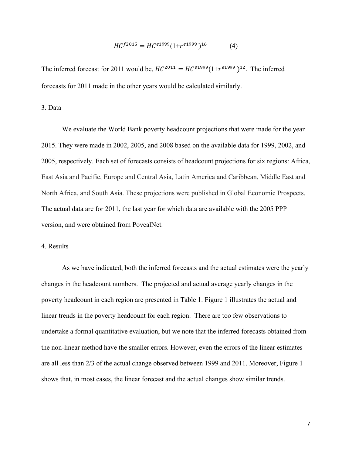$$
HC^{f2015} = HC^{e1999}(1 + r^{e1999})^{16}
$$
 (4)

The inferred forecast for 2011 would be,  $HC^{2011} = HC^{e1999}(1+r^{e1999})^{12}$ . The inferred forecasts for 2011 made in the other years would be calculated similarly.

3. Data

We evaluate the World Bank poverty headcount projections that were made for the year 2015. They were made in 2002, 2005, and 2008 based on the available data for 1999, 2002, and 2005, respectively. Each set of forecasts consists of headcount projections for six regions: Africa, East Asia and Pacific, Europe and Central Asia, Latin America and Caribbean, Middle East and North Africa, and South Asia. These projections were published in Global Economic Prospects. The actual data are for 2011, the last year for which data are available with the 2005 PPP version, and were obtained from PovcalNet.

#### 4. Results

As we have indicated, both the inferred forecasts and the actual estimates were the yearly changes in the headcount numbers. The projected and actual average yearly changes in the poverty headcount in each region are presented in Table 1. Figure 1 illustrates the actual and linear trends in the poverty headcount for each region. There are too few observations to undertake a formal quantitative evaluation, but we note that the inferred forecasts obtained from the non-linear method have the smaller errors. However, even the errors of the linear estimates are all less than 2/3 of the actual change observed between 1999 and 2011. Moreover, Figure 1 shows that, in most cases, the linear forecast and the actual changes show similar trends.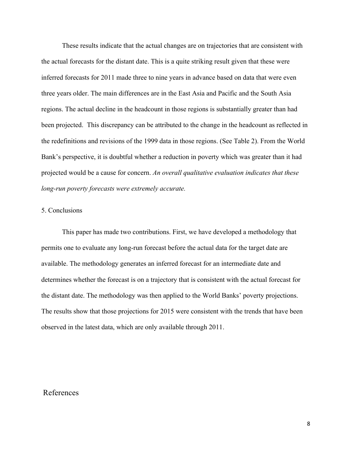These results indicate that the actual changes are on trajectories that are consistent with the actual forecasts for the distant date. This is a quite striking result given that these were inferred forecasts for 2011 made three to nine years in advance based on data that were even three years older. The main differences are in the East Asia and Pacific and the South Asia regions. The actual decline in the headcount in those regions is substantially greater than had been projected. This discrepancy can be attributed to the change in the headcount as reflected in the redefinitions and revisions of the 1999 data in those regions. (See Table 2). From the World Bank's perspective, it is doubtful whether a reduction in poverty which was greater than it had projected would be a cause for concern. *An overall qualitative evaluation indicates that these long-run poverty forecasts were extremely accurate.*

#### 5. Conclusions

This paper has made two contributions. First, we have developed a methodology that permits one to evaluate any long-run forecast before the actual data for the target date are available. The methodology generates an inferred forecast for an intermediate date and determines whether the forecast is on a trajectory that is consistent with the actual forecast for the distant date. The methodology was then applied to the World Banks' poverty projections. The results show that those projections for 2015 were consistent with the trends that have been observed in the latest data, which are only available through 2011.

#### References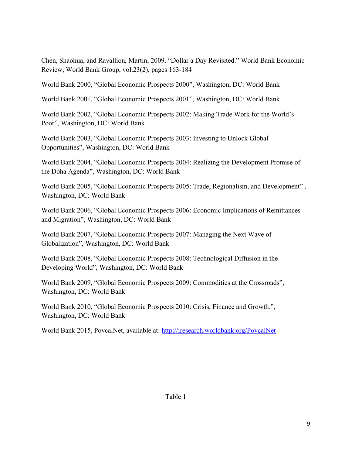Chen, Shaohua, and Ravallion, Martin, 2009. "Dollar a Day Revisited." World Bank Economic Review, World Bank Group, vol.23(2), pages 163-184

World Bank 2000, "Global Economic Prospects 2000", Washington, DC: World Bank

World Bank 2001, "Global Economic Prospects 2001", Washington, DC: World Bank

World Bank 2002, "Global Economic Prospects 2002: Making Trade Work for the World's Poor", Washington, DC: World Bank

World Bank 2003, "Global Economic Prospects 2003: Investing to Unlock Global Opportunities", Washington, DC: World Bank

World Bank 2004, "Global Economic Prospects 2004: Realizing the Development Promise of the Doha Agenda", Washington, DC: World Bank

World Bank 2005, "Global Economic Prospects 2005: Trade, Regionalism, and Development" , Washington, DC: World Bank

World Bank 2006, "Global Economic Prospects 2006: Economic Implications of Remittances and Migration", Washington, DC: World Bank

World Bank 2007, "Global Economic Prospects 2007: Managing the Next Wave of Globalization", Washington, DC: World Bank

World Bank 2008, "Global Economic Prospects 2008: Technological Diffusion in the Developing World", Washington, DC: World Bank

World Bank 2009, "Global Economic Prospects 2009: Commodities at the Crossroads", Washington, DC: World Bank

World Bank 2010, "Global Economic Prospects 2010: Crisis, Finance and Growth.", Washington, DC: World Bank

World Bank 2015, PovcalNet, available at: http://iresearch.worldbank.org/PovcalNet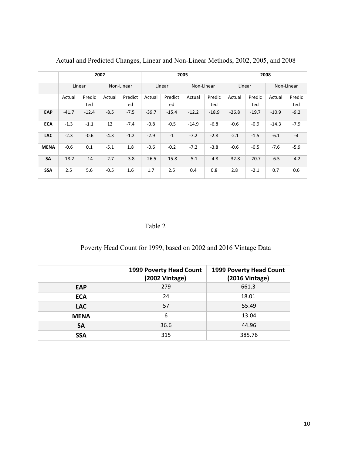|             | 2002    |         |            |         | 2005    |         |            |         | 2008    |         |            |        |
|-------------|---------|---------|------------|---------|---------|---------|------------|---------|---------|---------|------------|--------|
|             |         |         |            |         |         |         |            |         |         |         |            |        |
|             | Linear  |         | Non-Linear |         | Linear  |         | Non-Linear |         | Linear  |         | Non-Linear |        |
|             |         |         |            |         |         |         |            |         |         |         |            |        |
|             | Actual  | Predic  | Actual     | Predict | Actual  | Predict | Actual     | Predic  | Actual  | Predic  | Actual     | Predic |
|             |         | ted     |            | ed      |         | ed      |            | ted     |         | ted     |            | ted    |
| EAP         | $-41.7$ | $-12.4$ | $-8.5$     | $-7.5$  | $-39.7$ | $-15.4$ | $-12.2$    | $-18.9$ | $-26.8$ | $-19.7$ | $-10.9$    | $-9.2$ |
| <b>ECA</b>  | $-1.3$  | $-1.1$  | 12         | $-7.4$  | $-0.8$  | $-0.5$  | $-14.9$    | $-6.8$  | $-0.6$  | $-0.9$  | $-14.3$    | $-7.9$ |
| <b>LAC</b>  | $-2.3$  | $-0.6$  | $-4.3$     | $-1.2$  | $-2.9$  | $-1$    | $-7.2$     | $-2.8$  | $-2.1$  | $-1.5$  | $-6.1$     | $-4$   |
| <b>MENA</b> | $-0.6$  | 0.1     | $-5.1$     | 1.8     | $-0.6$  | $-0.2$  | $-7.2$     | $-3.8$  | $-0.6$  | $-0.5$  | $-7.6$     | $-5.9$ |
| <b>SA</b>   | $-18.2$ | $-14$   | $-2.7$     | $-3.8$  | $-26.5$ | $-15.8$ | $-5.1$     | $-4.8$  | $-32.8$ | $-20.7$ | $-6.5$     | $-4.2$ |
| <b>SSA</b>  | 2.5     | 5.6     | $-0.5$     | 1.6     | 1.7     | 2.5     | 0.4        | 0.8     | 2.8     | $-2.1$  | 0.7        | 0.6    |

Actual and Predicted Changes, Linear and Non-Linear Methods, 2002, 2005, and 2008

#### Table 2

Poverty Head Count for 1999, based on 2002 and 2016 Vintage Data

|             | 1999 Poverty Head Count<br>(2002 Vintage) | 1999 Poverty Head Count<br>(2016 Vintage) |
|-------------|-------------------------------------------|-------------------------------------------|
| <b>EAP</b>  | 279                                       | 661.3                                     |
| <b>ECA</b>  | 24                                        | 18.01                                     |
| <b>LAC</b>  | 57                                        | 55.49                                     |
| <b>MENA</b> | 6                                         | 13.04                                     |
| <b>SA</b>   | 36.6                                      | 44.96                                     |
| <b>SSA</b>  | 315                                       | 385.76                                    |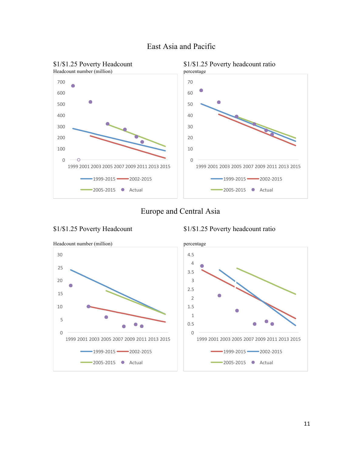

#### East Asia and Pacific

#### Europe and Central Asia



\$1/\$1.25 Poverty Headcount \$1/\$1.25 Poverty headcount ratio

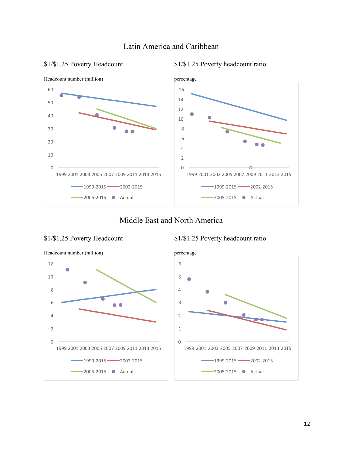

### Latin America and Caribbean

\$1/\$1.25 Poverty Headcount \$1/\$1.25 Poverty headcount ratio

#### Middle East and North America

#### \$1/\$1.25 Poverty Headcount \$1/\$1.25 Poverty headcount ratio